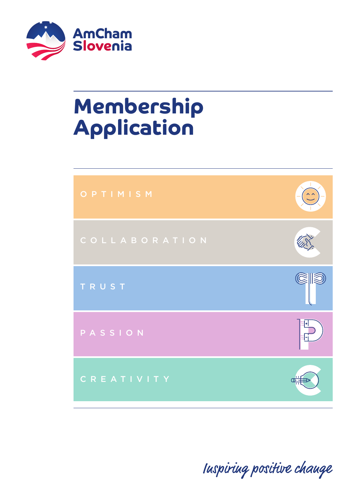

# **Membership Application**

| OPTIMISM      | $\hat{\mathbb{C}}$ |
|---------------|--------------------|
| COLLABORATION |                    |
| TRUST         |                    |
| PASSION       |                    |
| CREATIVITY    |                    |

Iuspiring positive change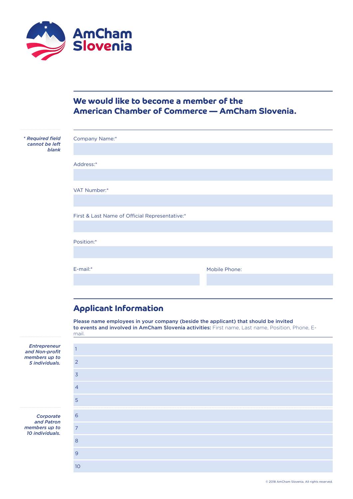

## **We would like to become a member of the American Chamber of Commerce — AmCham Slovenia.**

| * Required field<br>cannot be left<br>blank | Company Name:*                                 |               |
|---------------------------------------------|------------------------------------------------|---------------|
|                                             |                                                |               |
|                                             | Address:*                                      |               |
|                                             |                                                |               |
|                                             | VAT Number:*                                   |               |
|                                             |                                                |               |
|                                             | First & Last Name of Official Representative:* |               |
|                                             |                                                |               |
|                                             | Position:*                                     |               |
|                                             |                                                |               |
|                                             | E-mail:*                                       | Mobile Phone: |
|                                             |                                                |               |
|                                             |                                                |               |

## **Applicant Information**

Please name employees in your company (beside the applicant) that should be invited to events and involved in AmCham Slovenia activities: First name, Last name, Position, Phone, Email.

1 2 3 4 5 6 7 8 9 10

*Entrepreneur and Non-profit members up to 5 individuals.*

| Corporate       |
|-----------------|
| and Patron      |
| members up to   |
| 10 individuals. |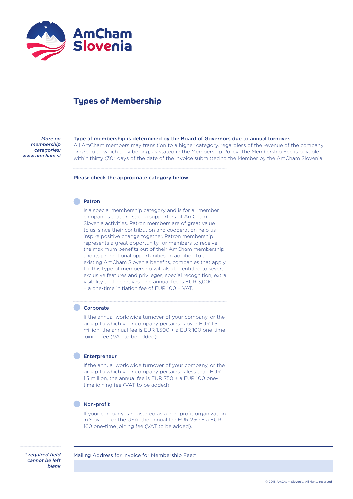

### **Types of Membership**

*More on membership categories: [www.amcham.si](http://www.amcham.si)*

#### Type of membership is determined by the Board of Governors due to annual turnover.

All AmCham members may transition to a higher category, regardless of the revenue of the company or group to which they belong, as stated in the Membership Policy. The Membership Fee is payable within thirty (30) days of the date of the invoice submitted to the Member by the AmCham Slovenia.

#### Please check the appropriate category below:

#### **Patron**

Is a special membership category and is for all member companies that are strong supporters of AmCham Slovenia activities. Patron members are of great value to us, since their contribution and cooperation help us inspire positive change together. Patron membership represents a great opportunity for members to receive the maximum benefits out of their AmCham membership and its promotional opportunities. In addition to all existing AmCham Slovenia benefits, companies that apply for this type of membership will also be entitled to several exclusive features and privileges, special recognition, extra visibility and incentives. The annual fee is EUR 3,000 + a one-time initiation fee of EUR 100 + VAT.

#### **Corporate**

If the annual worldwide turnover of your company, or the group to which your company pertains is over EUR 1.5 million, the annual fee is EUR 1,500 + a EUR 100 one-time joining fee (VAT to be added).

#### **Enterpreneur**

If the annual worldwide turnover of your company, or the group to which your company pertains is less than EUR 1.5 million, the annual fee is EUR 750 + a EUR 100 onetime joining fee (VAT to be added).

#### Non-profit

If your company is registered as a non-profit organization in Slovenia or the USA, the annual fee EUR 250 + a EUR 100 one-time joining fee (VAT to be added).

*\* required field cannot be left blank* Mailing Address for Invoice for Membership Fee:\*